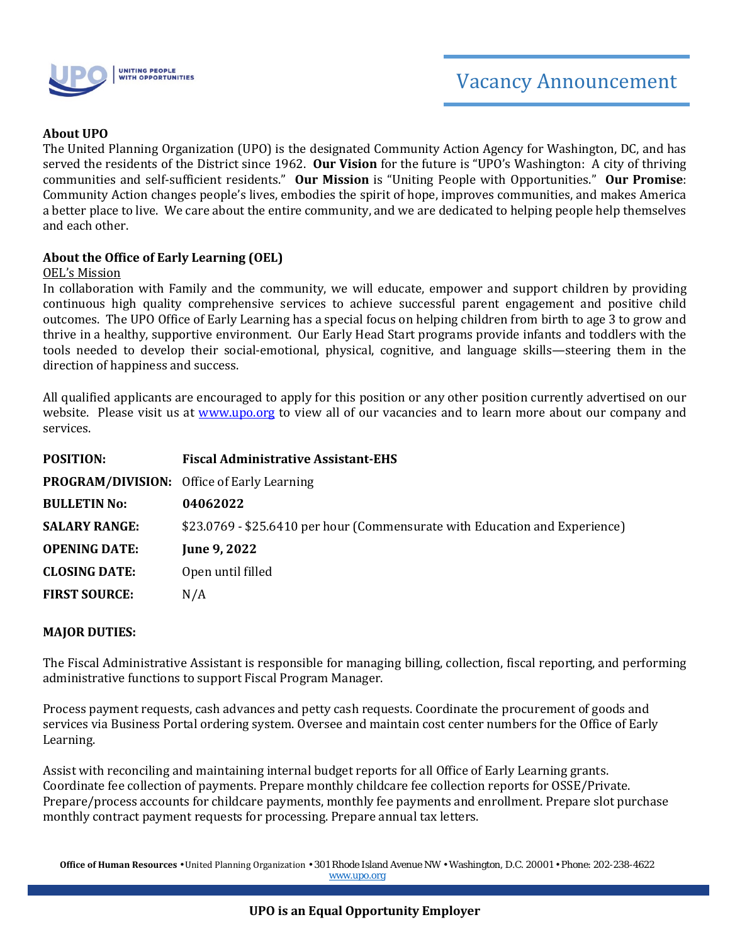

### **About UPO**

The United Planning Organization (UPO) is the designated Community Action Agency for Washington, DC, and has served the residents of the District since 1962. **Our Vision** for the future is "UPO's Washington: A city of thriving communities and self-sufficient residents." **Our Mission** is "Uniting People with Opportunities." **Our Promise**: Community Action changes people's lives, embodies the spirit of hope, improves communities, and makes America a better place to live. We care about the entire community, and we are dedicated to helping people help themselves and each other.

#### **About the Office of Early Learning (OEL)**

#### OEL's Mission

In collaboration with Family and the community, we will educate, empower and support children by providing continuous high quality comprehensive services to achieve successful parent engagement and positive child outcomes. The UPO Office of Early Learning has a special focus on helping children from birth to age 3 to grow and thrive in a healthy, supportive environment. Our Early Head Start programs provide infants and toddlers with the tools needed to develop their social-emotional, physical, cognitive, and language skills—steering them in the direction of happiness and success.

All qualified applicants are encouraged to apply for this position or any other position currently advertised on our website. Please visit us at [www.upo.org](http://www.upo.org/) to view all of our vacancies and to learn more about our company and services.

| <b>POSITION:</b>     | <b>Fiscal Administrative Assistant-EHS</b>                                  |
|----------------------|-----------------------------------------------------------------------------|
|                      | <b>PROGRAM/DIVISION:</b> Office of Early Learning                           |
| <b>BULLETIN No:</b>  | 04062022                                                                    |
| <b>SALARY RANGE:</b> | \$23.0769 - \$25.6410 per hour (Commensurate with Education and Experience) |
| <b>OPENING DATE:</b> | June 9, 2022                                                                |
| <b>CLOSING DATE:</b> | Open until filled                                                           |
| <b>FIRST SOURCE:</b> | N/A                                                                         |

#### **MAJOR DUTIES:**

The Fiscal Administrative Assistant is responsible for managing billing, collection, fiscal reporting, and performing administrative functions to support Fiscal Program Manager.

Process payment requests, cash advances and petty cash requests. Coordinate the procurement of goods and services via Business Portal ordering system. Oversee and maintain cost center numbers for the Office of Early Learning.

Assist with reconciling and maintaining internal budget reports for all Office of Early Learning grants. Coordinate fee collection of payments. Prepare monthly childcare fee collection reports for OSSE/Private. Prepare/process accounts for childcare payments, monthly fee payments and enrollment. Prepare slot purchase monthly contract payment requests for processing. Prepare annual tax letters.

**Office of Human Resources** • United Planning Organization • 301 Rhode Island Avenue NW • Washington, D.C. 20001 • Phone: 202-238-4622 [www.upo.org](http://www.upo.org/)